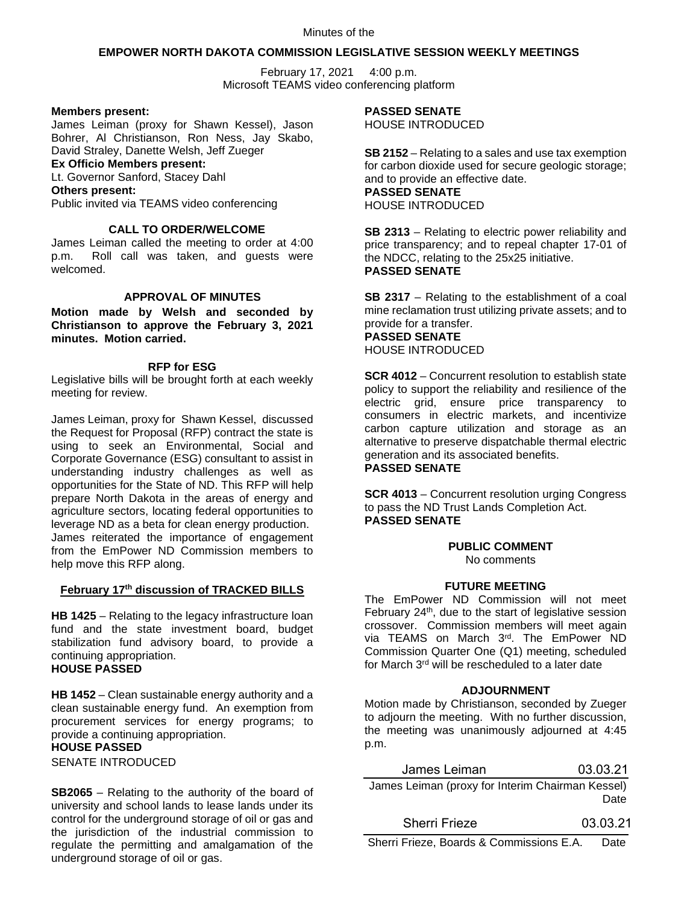Minutes of the

## **EMPOWER NORTH DAKOTA COMMISSION LEGISLATIVE SESSION WEEKLY MEETINGS**

February 17, 2021 4:00 p.m. Microsoft TEAMS video conferencing platform

## **Members present:**

James Leiman (proxy for Shawn Kessel), Jason Bohrer, Al Christianson, Ron Ness, Jay Skabo, David Straley, Danette Welsh, Jeff Zueger

## **Ex Officio Members present:**

Lt. Governor Sanford, Stacey Dahl

## **Others present:**

Public invited via TEAMS video conferencing

# **CALL TO ORDER/WELCOME**

James Leiman called the meeting to order at 4:00 p.m. Roll call was taken, and guests were welcomed.

# **APPROVAL OF MINUTES**

**Motion made by Welsh and seconded by Christianson to approve the February 3, 2021 minutes. Motion carried.**

## **RFP for ESG**

Legislative bills will be brought forth at each weekly meeting for review.

James Leiman, proxy for Shawn Kessel, discussed the Request for Proposal (RFP) contract the state is using to seek an Environmental, Social and Corporate Governance (ESG) consultant to assist in understanding industry challenges as well as opportunities for the State of ND. This RFP will help prepare North Dakota in the areas of energy and agriculture sectors, locating federal opportunities to leverage ND as a beta for clean energy production. James reiterated the importance of engagement from the EmPower ND Commission members to help move this RFP along.

# **February 17th discussion of TRACKED BILLS**

**HB 1425** – Relating to the legacy infrastructure loan fund and the state investment board, budget stabilization fund advisory board, to provide a continuing appropriation. **HOUSE PASSED**

**HB 1452** – Clean sustainable energy authority and a clean sustainable energy fund. An exemption from procurement services for energy programs; to provide a continuing appropriation.

## **HOUSE PASSED**

SENATE INTRODUCED

**SB2065** – Relating to the authority of the board of university and school lands to lease lands under its control for the underground storage of oil or gas and the jurisdiction of the industrial commission to regulate the permitting and amalgamation of the underground storage of oil or gas.

# **PASSED SENATE**

HOUSE INTRODUCED

**SB 2152** – Relating to a sales and use tax exemption for carbon dioxide used for secure geologic storage; and to provide an effective date. **PASSED SENATE** HOUSE INTRODUCED

**SB 2313** – Relating to electric power reliability and price transparency; and to repeal chapter 17-01 of the NDCC, relating to the 25x25 initiative. **PASSED SENATE**

**SB 2317** – Relating to the establishment of a coal mine reclamation trust utilizing private assets; and to provide for a transfer. **PASSED SENATE** HOUSE INTRODUCED

**SCR 4012** – Concurrent resolution to establish state policy to support the reliability and resilience of the electric grid, ensure price transparency to consumers in electric markets, and incentivize carbon capture utilization and storage as an alternative to preserve dispatchable thermal electric generation and its associated benefits. **PASSED SENATE**

**SCR 4013** – Concurrent resolution urging Congress to pass the ND Trust Lands Completion Act. **PASSED SENATE**

# **PUBLIC COMMENT**

No comments

## **FUTURE MEETING**

The EmPower ND Commission will not meet February  $24<sup>th</sup>$ , due to the start of legislative session crossover. Commission members will meet again via TEAMS on March 3rd. The EmPower ND Commission Quarter One (Q1) meeting, scheduled for March 3rd will be rescheduled to a later date

## **ADJOURNMENT**

Motion made by Christianson, seconded by Zueger to adjourn the meeting. With no further discussion, the meeting was unanimously adjourned at 4:45 p.m.

| James Leiman                                     | 03.03.21 |
|--------------------------------------------------|----------|
| James Leiman (proxy for Interim Chairman Kessel) | Date     |

Sherri Frieze 03.03.21

Sherri Frieze, Boards & Commissions E.A. Date